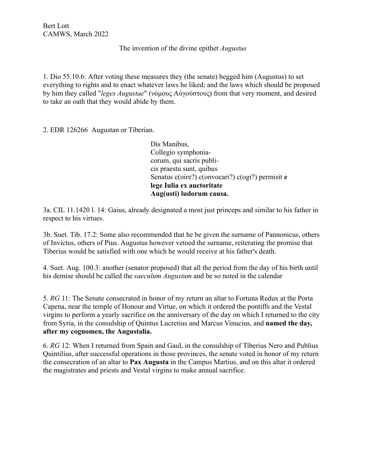The invention of the divine epithet *Augustus*

1. Dio 55.10.6: After voting these measures they (the senate) begged him (Augustus) to set everything to rights and to enact whatever laws he liked; and the laws which should be proposed by him they called "*leges Augustae*" [\(νόμους](http://www.perseus.tufts.edu/hopper/morph?l=no%2Fmous&la=greek&can=no%2Fmous0&prior=te) Αὐγούστους) from that very moment, and desired to take an oath that they would abide by them.

2. EDR 126266 Augustan or Tiberian.

Dis Manibus, Collegio symphoniacorum, qui sacris publicis praestu sunt, quibus Senatus c(oire?) c(onvocari?) c(ogi?) permisit **e lege Iulia ex auctoritate Aug(usti) ludorum causa.**

3a. CIL 11.1420 l. 14: Gaius, already designated a most just princeps and similar to his father in respect to his virtues.

3b. Suet. Tib. 17.2: Some also recommended that he be given the surname of Pannonicus, others of Invictus, others of Pius. Augustus however vetoed the surname, reiterating the promise that Tiberius would be satisfied with one which he would receive at his father's death.

4. Suet. Aug. 100.3: another (senator proposed) that all the period from the day of his birth until his demise should be called the *saeculum Augustum* and be so noted in the calendar

5. *RG* 11: The Senate consecrated in honor of my return an altar to Fortuna Redux at the Porta Capena, near the temple of Honour and Virtue, on which it ordered the pontiffs and the Vestal virgins to perform a yearly sacrifice on the anniversary of the day on which I returned to the city from Syria, in the consulship of Quintus Lucretius and Marcus Vinucius, and **named the day, after my cognomen, the Augustalia.**

6. *RG* 12: When I returned from Spain and Gaul, in the consulship of Tiberius Nero and Publius Quintilius, after successful operations in those provinces, the senate voted in honor of my return the consecration of an altar to **Pax Augusta** in the Campus Martius, and on this altar it ordered the magistrates and priests and Vestal virgins to make annual sacrifice.